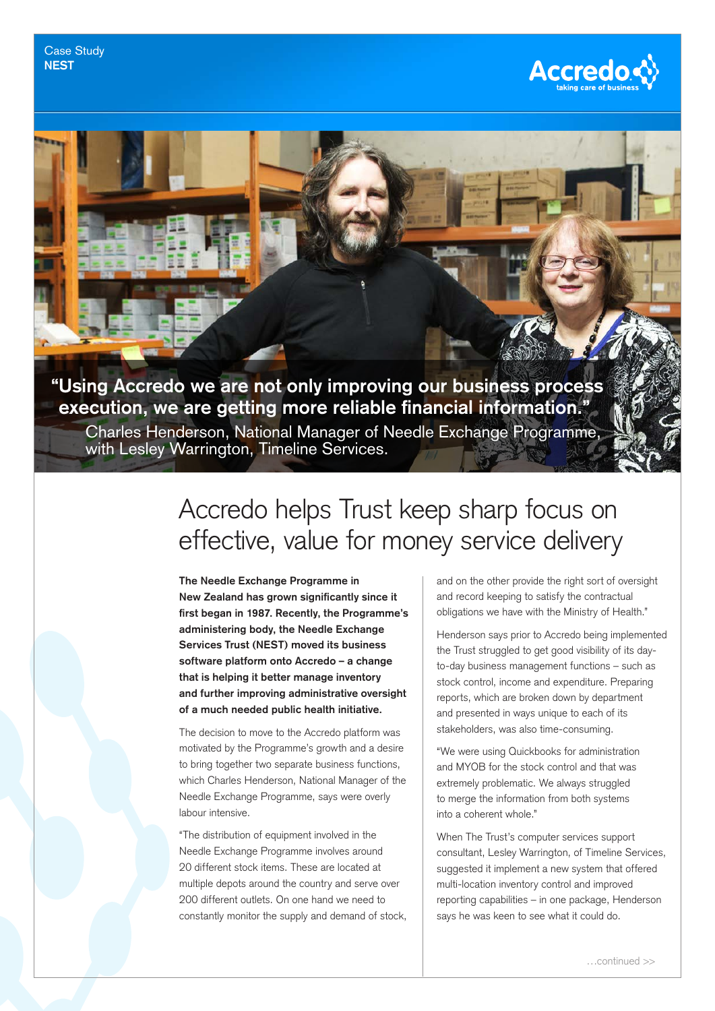

## **"Using Accredo we are not only improving our business process execution, we are getting more reliable financial information."**

Charles Henderson, National Manager of Needle Exchange Programme, with Lesley Warrington, Timeline Services.

## Accredo helps Trust keep sharp focus on effective, value for money service delivery

**The Needle Exchange Programme in New Zealand has grown significantly since it first began in 1987. Recently, the Programme's administering body, the Needle Exchange Services Trust (NEST) moved its business software platform onto Accredo – a change that is helping it better manage inventory and further improving administrative oversight of a much needed public health initiative.**

The decision to move to the Accredo platform was motivated by the Programme's growth and a desire to bring together two separate business functions, which Charles Henderson, National Manager of the Needle Exchange Programme, says were overly labour intensive.

"The distribution of equipment involved in the Needle Exchange Programme involves around 20 different stock items. These are located at multiple depots around the country and serve over 200 different outlets. On one hand we need to constantly monitor the supply and demand of stock, and on the other provide the right sort of oversight and record keeping to satisfy the contractual obligations we have with the Ministry of Health."

Henderson says prior to Accredo being implemented the Trust struggled to get good visibility of its dayto-day business management functions – such as stock control, income and expenditure. Preparing reports, which are broken down by department and presented in ways unique to each of its stakeholders, was also time-consuming.

"We were using Quickbooks for administration and MYOB for the stock control and that was extremely problematic. We always struggled to merge the information from both systems into a coherent whole."

When The Trust's computer services support consultant, Lesley Warrington, of Timeline Services, suggested it implement a new system that offered multi-location inventory control and improved reporting capabilities – in one package, Henderson says he was keen to see what it could do.